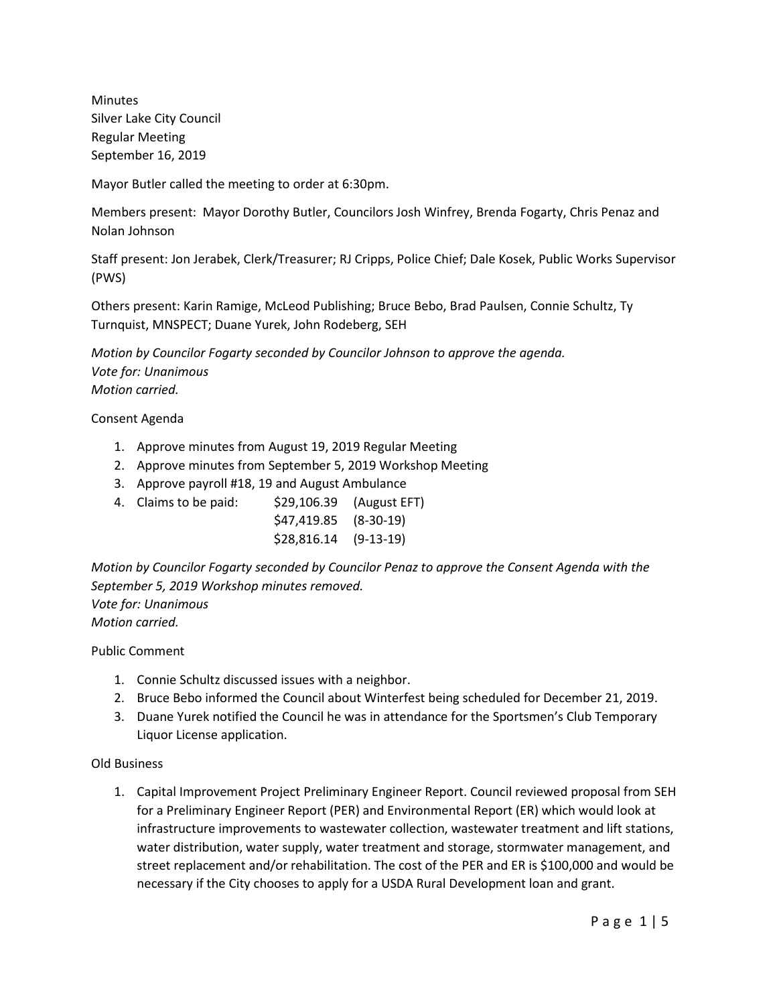Minutes Silver Lake City Council Regular Meeting September 16, 2019

Mayor Butler called the meeting to order at 6:30pm.

Members present: Mayor Dorothy Butler, Councilors Josh Winfrey, Brenda Fogarty, Chris Penaz and Nolan Johnson

Staff present: Jon Jerabek, Clerk/Treasurer; RJ Cripps, Police Chief; Dale Kosek, Public Works Supervisor (PWS)

Others present: Karin Ramige, McLeod Publishing; Bruce Bebo, Brad Paulsen, Connie Schultz, Ty Turnquist, MNSPECT; Duane Yurek, John Rodeberg, SEH

*Motion by Councilor Fogarty seconded by Councilor Johnson to approve the agenda. Vote for: Unanimous Motion carried.*

Consent Agenda

- 1. Approve minutes from August 19, 2019 Regular Meeting
- 2. Approve minutes from September 5, 2019 Workshop Meeting
- 3. Approve payroll #18, 19 and August Ambulance
- 4. Claims to be paid: \$29,106.39 (August EFT)
	- \$47,419.85 (8-30-19) \$28,816.14 (9-13-19)

*Motion by Councilor Fogarty seconded by Councilor Penaz to approve the Consent Agenda with the September 5, 2019 Workshop minutes removed. Vote for: Unanimous*

*Motion carried.*

Public Comment

- 1. Connie Schultz discussed issues with a neighbor.
- 2. Bruce Bebo informed the Council about Winterfest being scheduled for December 21, 2019.
- 3. Duane Yurek notified the Council he was in attendance for the Sportsmen's Club Temporary Liquor License application.

Old Business

1. Capital Improvement Project Preliminary Engineer Report. Council reviewed proposal from SEH for a Preliminary Engineer Report (PER) and Environmental Report (ER) which would look at infrastructure improvements to wastewater collection, wastewater treatment and lift stations, water distribution, water supply, water treatment and storage, stormwater management, and street replacement and/or rehabilitation. The cost of the PER and ER is \$100,000 and would be necessary if the City chooses to apply for a USDA Rural Development loan and grant.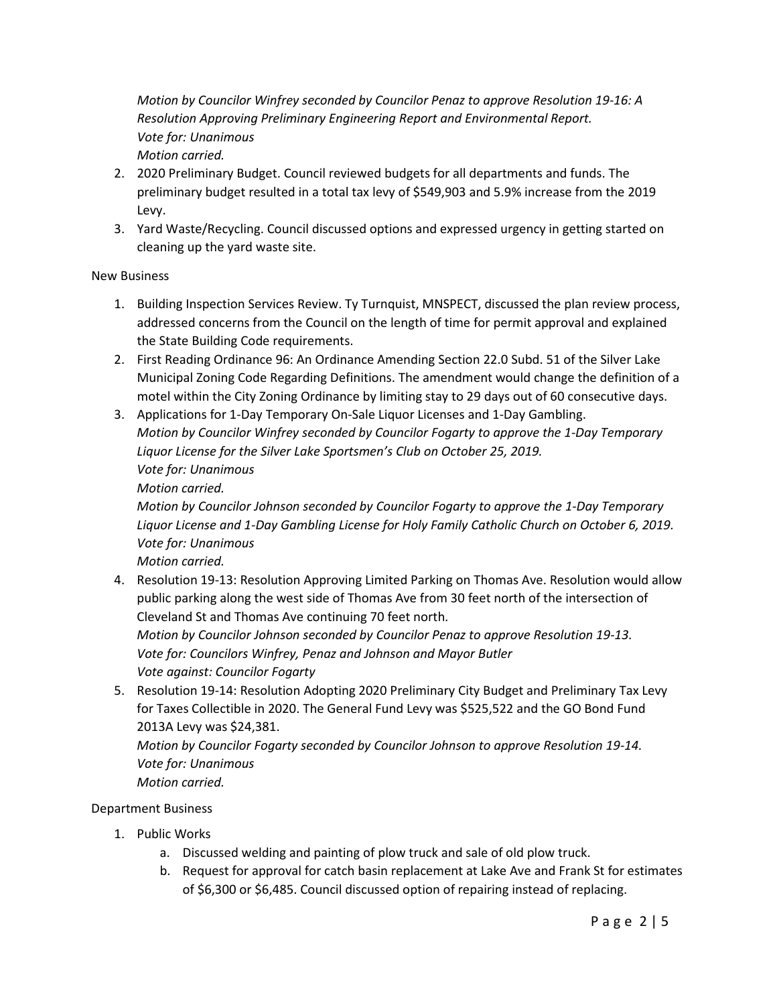*Motion by Councilor Winfrey seconded by Councilor Penaz to approve Resolution 19-16: A Resolution Approving Preliminary Engineering Report and Environmental Report. Vote for: Unanimous*

*Motion carried.* 

- 2. 2020 Preliminary Budget. Council reviewed budgets for all departments and funds. The preliminary budget resulted in a total tax levy of \$549,903 and 5.9% increase from the 2019 Levy.
- 3. Yard Waste/Recycling. Council discussed options and expressed urgency in getting started on cleaning up the yard waste site.

### New Business

- 1. Building Inspection Services Review. Ty Turnquist, MNSPECT, discussed the plan review process, addressed concerns from the Council on the length of time for permit approval and explained the State Building Code requirements.
- 2. First Reading Ordinance 96: An Ordinance Amending Section 22.0 Subd. 51 of the Silver Lake Municipal Zoning Code Regarding Definitions. The amendment would change the definition of a motel within the City Zoning Ordinance by limiting stay to 29 days out of 60 consecutive days.
- 3. Applications for 1-Day Temporary On-Sale Liquor Licenses and 1-Day Gambling. *Motion by Councilor Winfrey seconded by Councilor Fogarty to approve the 1-Day Temporary Liquor License for the Silver Lake Sportsmen's Club on October 25, 2019. Vote for: Unanimous*

*Motion carried.*

*Motion by Councilor Johnson seconded by Councilor Fogarty to approve the 1-Day Temporary Liquor License and 1-Day Gambling License for Holy Family Catholic Church on October 6, 2019. Vote for: Unanimous*

*Motion carried.*

4. Resolution 19-13: Resolution Approving Limited Parking on Thomas Ave. Resolution would allow public parking along the west side of Thomas Ave from 30 feet north of the intersection of Cleveland St and Thomas Ave continuing 70 feet north.

*Motion by Councilor Johnson seconded by Councilor Penaz to approve Resolution 19-13. Vote for: Councilors Winfrey, Penaz and Johnson and Mayor Butler Vote against: Councilor Fogarty*

5. Resolution 19-14: Resolution Adopting 2020 Preliminary City Budget and Preliminary Tax Levy for Taxes Collectible in 2020. The General Fund Levy was \$525,522 and the GO Bond Fund 2013A Levy was \$24,381.

*Motion by Councilor Fogarty seconded by Councilor Johnson to approve Resolution 19-14. Vote for: Unanimous*

*Motion carried.*

### Department Business

- 1. Public Works
	- a. Discussed welding and painting of plow truck and sale of old plow truck.
	- b. Request for approval for catch basin replacement at Lake Ave and Frank St for estimates of \$6,300 or \$6,485. Council discussed option of repairing instead of replacing.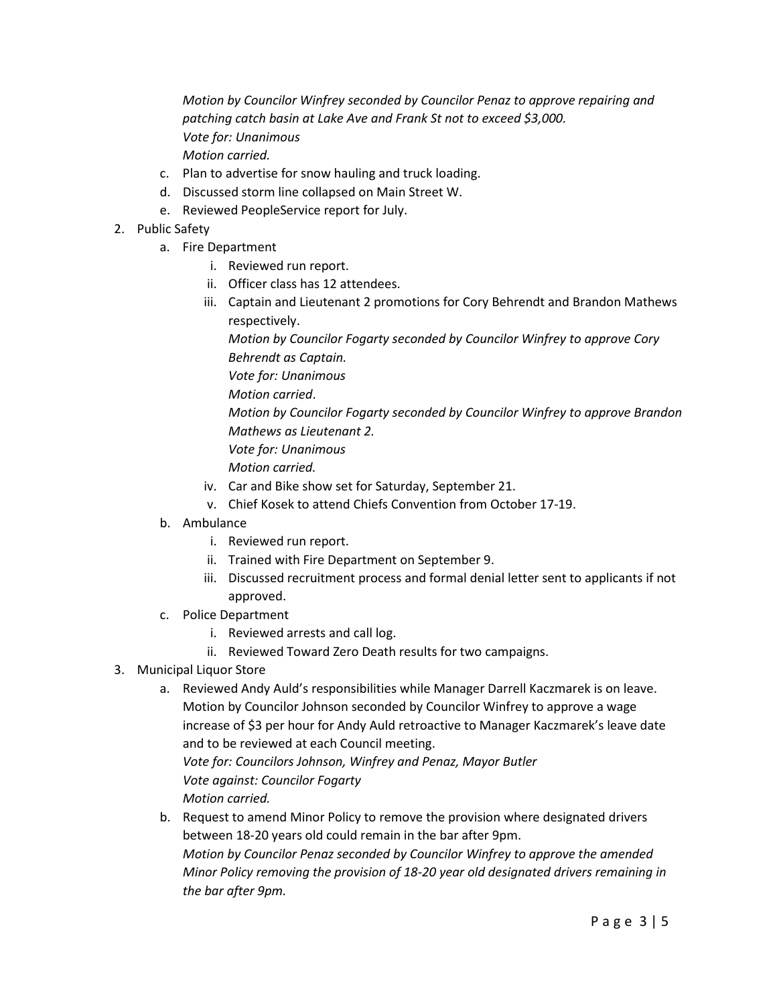*Motion by Councilor Winfrey seconded by Councilor Penaz to approve repairing and patching catch basin at Lake Ave and Frank St not to exceed \$3,000. Vote for: Unanimous Motion carried.*

- c. Plan to advertise for snow hauling and truck loading.
- d. Discussed storm line collapsed on Main Street W.
- e. Reviewed PeopleService report for July.
- 2. Public Safety
	- a. Fire Department
		- i. Reviewed run report.
		- ii. Officer class has 12 attendees.
		- iii. Captain and Lieutenant 2 promotions for Cory Behrendt and Brandon Mathews respectively.

*Motion by Councilor Fogarty seconded by Councilor Winfrey to approve Cory Behrendt as Captain.*

*Vote for: Unanimous*

*Motion carried*.

*Motion by Councilor Fogarty seconded by Councilor Winfrey to approve Brandon Mathews as Lieutenant 2.*

*Vote for: Unanimous*

*Motion carried.*

- iv. Car and Bike show set for Saturday, September 21.
- v. Chief Kosek to attend Chiefs Convention from October 17-19.
- b. Ambulance
	- i. Reviewed run report.
	- ii. Trained with Fire Department on September 9.
	- iii. Discussed recruitment process and formal denial letter sent to applicants if not approved.
- c. Police Department
	- i. Reviewed arrests and call log.
	- ii. Reviewed Toward Zero Death results for two campaigns.
- 3. Municipal Liquor Store
	- a. Reviewed Andy Auld's responsibilities while Manager Darrell Kaczmarek is on leave. Motion by Councilor Johnson seconded by Councilor Winfrey to approve a wage increase of \$3 per hour for Andy Auld retroactive to Manager Kaczmarek's leave date and to be reviewed at each Council meeting. *Vote for: Councilors Johnson, Winfrey and Penaz, Mayor Butler Vote against: Councilor Fogarty*

*Motion carried.*

b. Request to amend Minor Policy to remove the provision where designated drivers between 18-20 years old could remain in the bar after 9pm. *Motion by Councilor Penaz seconded by Councilor Winfrey to approve the amended Minor Policy removing the provision of 18-20 year old designated drivers remaining in the bar after 9pm.*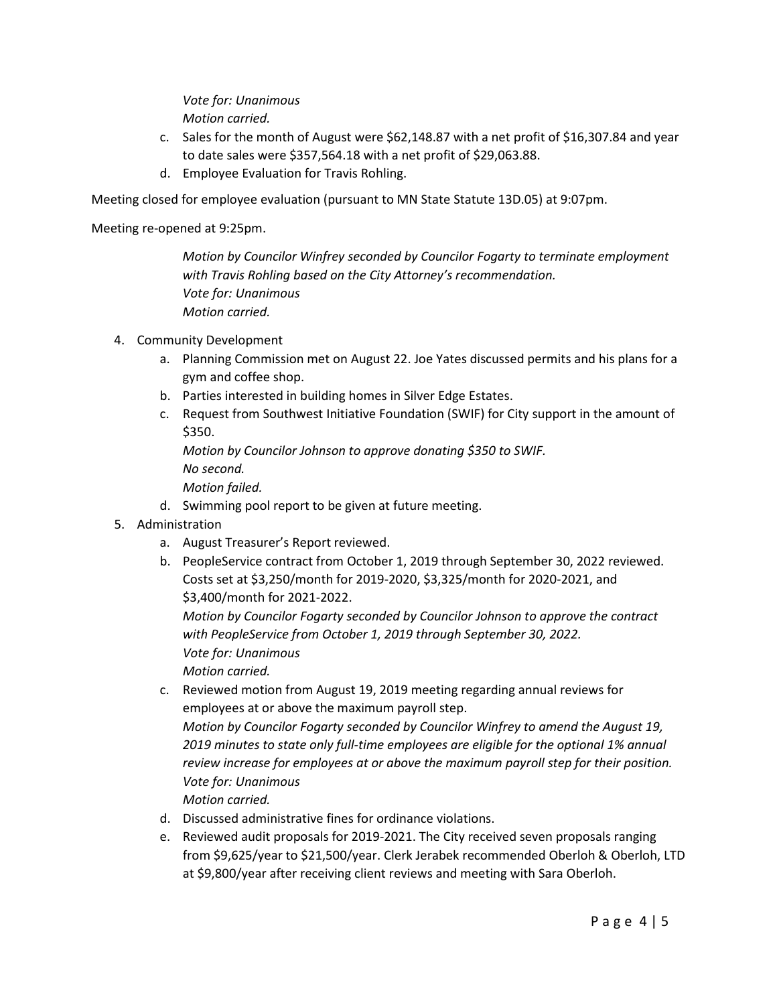*Vote for: Unanimous Motion carried.*

- c. Sales for the month of August were \$62,148.87 with a net profit of \$16,307.84 and year to date sales were \$357,564.18 with a net profit of \$29,063.88.
- d. Employee Evaluation for Travis Rohling.

Meeting closed for employee evaluation (pursuant to MN State Statute 13D.05) at 9:07pm.

Meeting re-opened at 9:25pm.

*Motion by Councilor Winfrey seconded by Councilor Fogarty to terminate employment with Travis Rohling based on the City Attorney's recommendation. Vote for: Unanimous Motion carried.*

- 4. Community Development
	- a. Planning Commission met on August 22. Joe Yates discussed permits and his plans for a gym and coffee shop.
	- b. Parties interested in building homes in Silver Edge Estates.
	- c. Request from Southwest Initiative Foundation (SWIF) for City support in the amount of \$350.

*Motion by Councilor Johnson to approve donating \$350 to SWIF.*

*No second.*

*Motion failed.*

- d. Swimming pool report to be given at future meeting.
- 5. Administration
	- a. August Treasurer's Report reviewed.
	- b. PeopleService contract from October 1, 2019 through September 30, 2022 reviewed. Costs set at \$3,250/month for 2019-2020, \$3,325/month for 2020-2021, and \$3,400/month for 2021-2022.

*Motion by Councilor Fogarty seconded by Councilor Johnson to approve the contract with PeopleService from October 1, 2019 through September 30, 2022. Vote for: Unanimous Motion carried.*

- c. Reviewed motion from August 19, 2019 meeting regarding annual reviews for employees at or above the maximum payroll step. *Motion by Councilor Fogarty seconded by Councilor Winfrey to amend the August 19, 2019 minutes to state only full-time employees are eligible for the optional 1% annual review increase for employees at or above the maximum payroll step for their position. Vote for: Unanimous Motion carried.*
- d. Discussed administrative fines for ordinance violations.
- e. Reviewed audit proposals for 2019-2021. The City received seven proposals ranging from \$9,625/year to \$21,500/year. Clerk Jerabek recommended Oberloh & Oberloh, LTD at \$9,800/year after receiving client reviews and meeting with Sara Oberloh.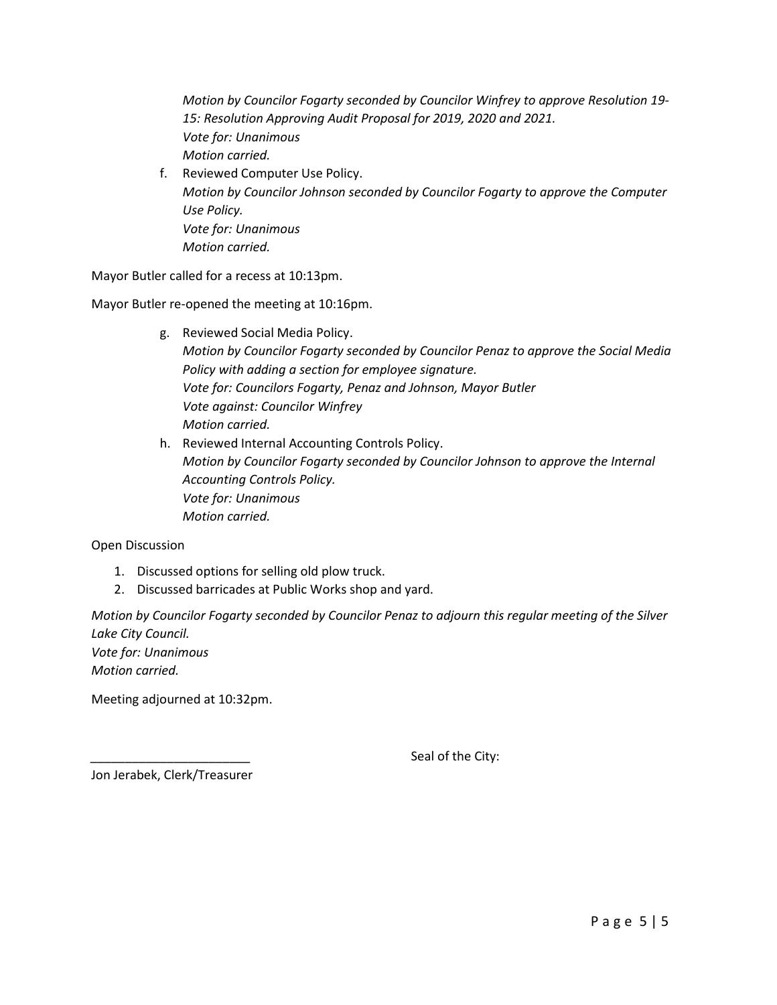*Motion by Councilor Fogarty seconded by Councilor Winfrey to approve Resolution 19- 15: Resolution Approving Audit Proposal for 2019, 2020 and 2021. Vote for: Unanimous Motion carried.*

f. Reviewed Computer Use Policy. *Motion by Councilor Johnson seconded by Councilor Fogarty to approve the Computer Use Policy. Vote for: Unanimous Motion carried.*

Mayor Butler called for a recess at 10:13pm.

Mayor Butler re-opened the meeting at 10:16pm.

- g. Reviewed Social Media Policy. *Motion by Councilor Fogarty seconded by Councilor Penaz to approve the Social Media Policy with adding a section for employee signature. Vote for: Councilors Fogarty, Penaz and Johnson, Mayor Butler Vote against: Councilor Winfrey Motion carried.*
- h. Reviewed Internal Accounting Controls Policy. *Motion by Councilor Fogarty seconded by Councilor Johnson to approve the Internal Accounting Controls Policy. Vote for: Unanimous Motion carried.*

Open Discussion

- 1. Discussed options for selling old plow truck.
- 2. Discussed barricades at Public Works shop and yard.

*Motion by Councilor Fogarty seconded by Councilor Penaz to adjourn this regular meeting of the Silver Lake City Council. Vote for: Unanimous Motion carried.*

Meeting adjourned at 10:32pm.

Seal of the City:

Jon Jerabek, Clerk/Treasurer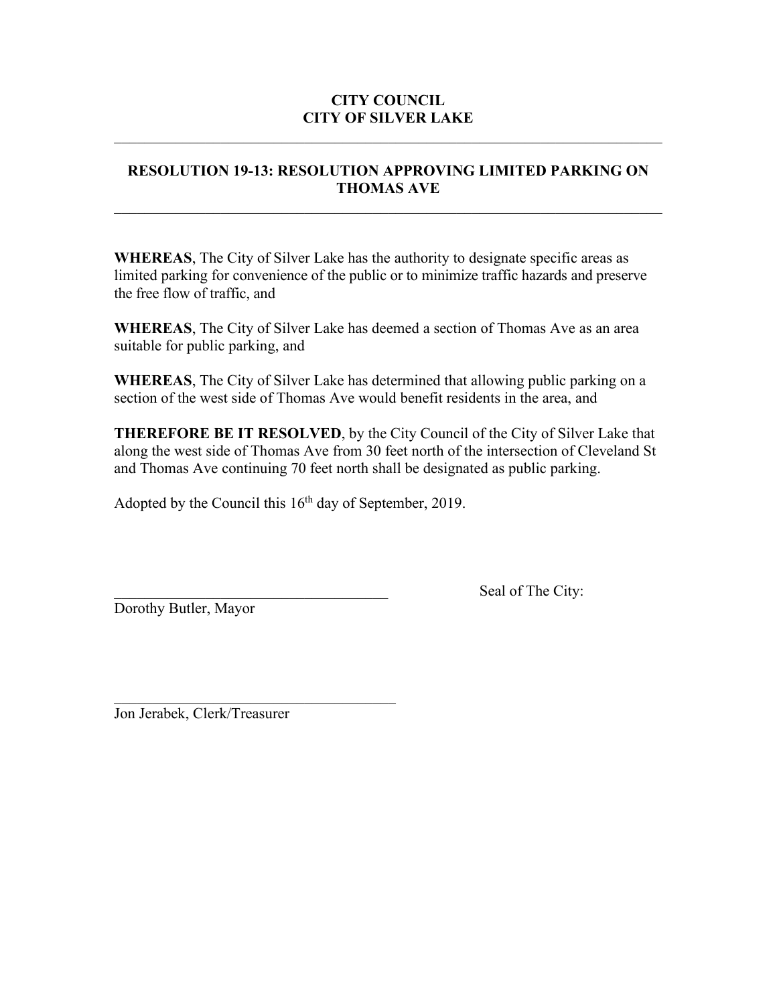# **RESOLUTION 19-13: RESOLUTION APPROVING LIMITED PARKING ON THOMAS AVE**

 $\mathcal{L}_\text{max} = \mathcal{L}_\text{max} = \mathcal{L}_\text{max} = \mathcal{L}_\text{max} = \mathcal{L}_\text{max} = \mathcal{L}_\text{max} = \mathcal{L}_\text{max} = \mathcal{L}_\text{max} = \mathcal{L}_\text{max} = \mathcal{L}_\text{max} = \mathcal{L}_\text{max} = \mathcal{L}_\text{max} = \mathcal{L}_\text{max} = \mathcal{L}_\text{max} = \mathcal{L}_\text{max} = \mathcal{L}_\text{max} = \mathcal{L}_\text{max} = \mathcal{L}_\text{max} = \mathcal{$ 

**WHEREAS**, The City of Silver Lake has the authority to designate specific areas as limited parking for convenience of the public or to minimize traffic hazards and preserve the free flow of traffic, and

**WHEREAS**, The City of Silver Lake has deemed a section of Thomas Ave as an area suitable for public parking, and

**WHEREAS**, The City of Silver Lake has determined that allowing public parking on a section of the west side of Thomas Ave would benefit residents in the area, and

**THEREFORE BE IT RESOLVED**, by the City Council of the City of Silver Lake that along the west side of Thomas Ave from 30 feet north of the intersection of Cleveland St and Thomas Ave continuing 70 feet north shall be designated as public parking.

Adopted by the Council this  $16<sup>th</sup>$  day of September, 2019.

Dorothy Butler, Mayor

Seal of The City:

Jon Jerabek, Clerk/Treasurer

\_\_\_\_\_\_\_\_\_\_\_\_\_\_\_\_\_\_\_\_\_\_\_\_\_\_\_\_\_\_\_\_\_\_\_\_\_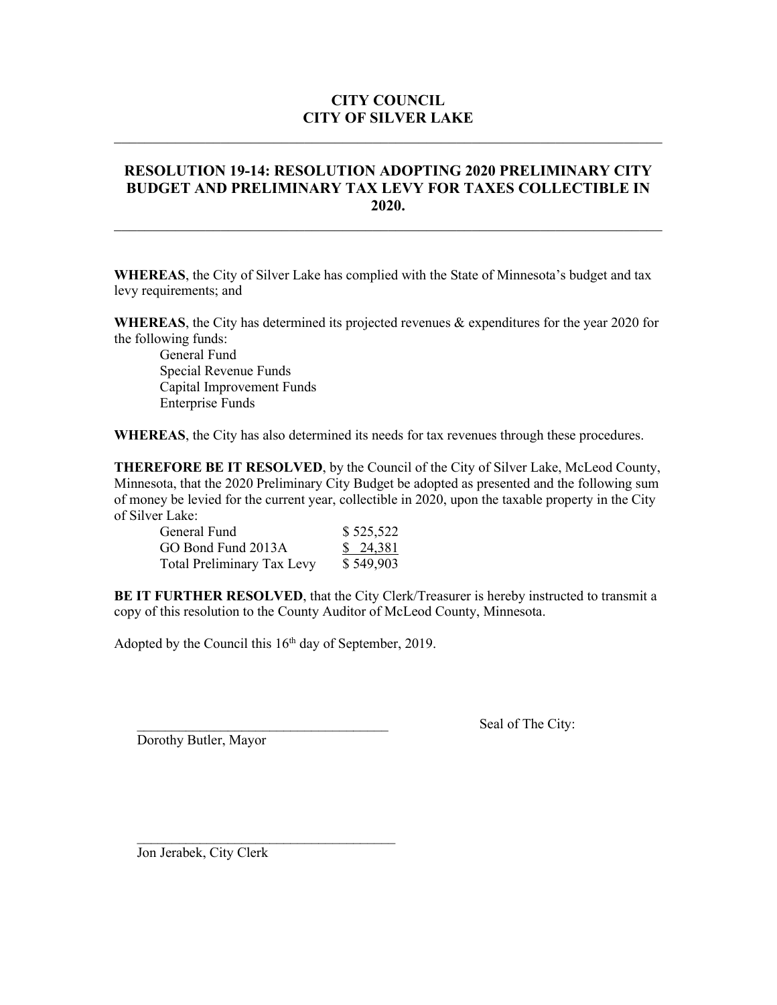### **RESOLUTION 19-14: RESOLUTION ADOPTING 2020 PRELIMINARY CITY BUDGET AND PRELIMINARY TAX LEVY FOR TAXES COLLECTIBLE IN 2020.**

**WHEREAS**, the City of Silver Lake has complied with the State of Minnesota's budget and tax levy requirements; and

**WHEREAS**, the City has determined its projected revenues & expenditures for the year 2020 for the following funds:

General Fund Special Revenue Funds Capital Improvement Funds Enterprise Funds

**WHEREAS**, the City has also determined its needs for tax revenues through these procedures.

**THEREFORE BE IT RESOLVED**, by the Council of the City of Silver Lake, McLeod County, Minnesota, that the 2020 Preliminary City Budget be adopted as presented and the following sum of money be levied for the current year, collectible in 2020, upon the taxable property in the City of Silver Lake:

| General Fund                      | \$525,522 |
|-----------------------------------|-----------|
| GO Bond Fund 2013A                | \$ 24,381 |
| <b>Total Preliminary Tax Levy</b> | \$549,903 |

**BE IT FURTHER RESOLVED**, that the City Clerk/Treasurer is hereby instructed to transmit a copy of this resolution to the County Auditor of McLeod County, Minnesota.

Adopted by the Council this  $16<sup>th</sup>$  day of September, 2019.

 $\mathcal{L}_\text{max}$  , where  $\mathcal{L}_\text{max}$  is the set of the set of the set of the set of the set of the set of the set of the set of the set of the set of the set of the set of the set of the set of the set of the set of the se

Dorothy Butler, Mayor

Seal of The City:

Jon Jerabek, City Clerk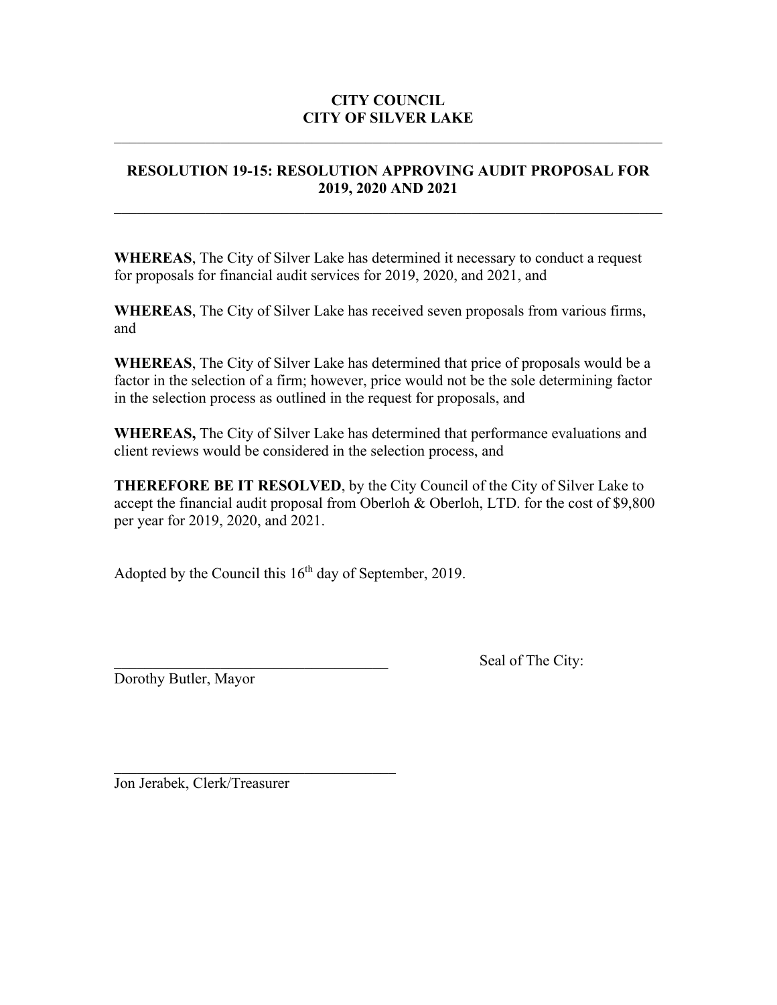# **RESOLUTION 19-15: RESOLUTION APPROVING AUDIT PROPOSAL FOR 2019, 2020 AND 2021**

 $\mathcal{L}_\text{max} = \mathcal{L}_\text{max} = \mathcal{L}_\text{max} = \mathcal{L}_\text{max} = \mathcal{L}_\text{max} = \mathcal{L}_\text{max} = \mathcal{L}_\text{max} = \mathcal{L}_\text{max} = \mathcal{L}_\text{max} = \mathcal{L}_\text{max} = \mathcal{L}_\text{max} = \mathcal{L}_\text{max} = \mathcal{L}_\text{max} = \mathcal{L}_\text{max} = \mathcal{L}_\text{max} = \mathcal{L}_\text{max} = \mathcal{L}_\text{max} = \mathcal{L}_\text{max} = \mathcal{$ 

**WHEREAS**, The City of Silver Lake has determined it necessary to conduct a request for proposals for financial audit services for 2019, 2020, and 2021, and

**WHEREAS**, The City of Silver Lake has received seven proposals from various firms, and

**WHEREAS**, The City of Silver Lake has determined that price of proposals would be a factor in the selection of a firm; however, price would not be the sole determining factor in the selection process as outlined in the request for proposals, and

**WHEREAS,** The City of Silver Lake has determined that performance evaluations and client reviews would be considered in the selection process, and

**THEREFORE BE IT RESOLVED**, by the City Council of the City of Silver Lake to accept the financial audit proposal from Oberloh & Oberloh, LTD. for the cost of \$9,800 per year for 2019, 2020, and 2021.

Adopted by the Council this  $16<sup>th</sup>$  day of September, 2019.

Dorothy Butler, Mayor

Seal of The City:

\_\_\_\_\_\_\_\_\_\_\_\_\_\_\_\_\_\_\_\_\_\_\_\_\_\_\_\_\_\_\_\_\_\_\_\_\_ Jon Jerabek, Clerk/Treasurer